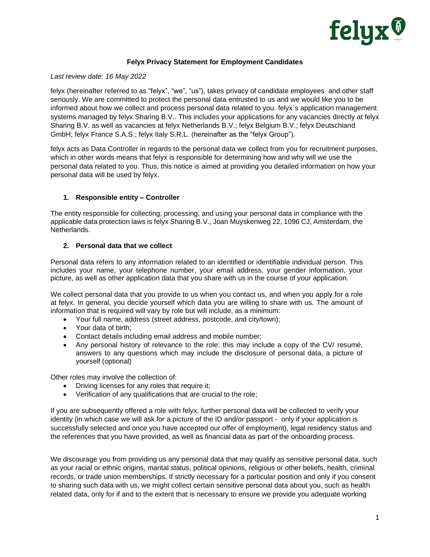

# **Felyx Privacy Statement for Employment Candidates**

### *Last review date: 16 May 2022*

felyx (hereinafter referred to as "felyx", "we", "us"), takes privacy of candidate employees and other staff seriously. We are committed to protect the personal data entrusted to us and we would like you to be informed about how we collect and process personal data related to you. felyx`s application management systems managed by felyx Sharing B.V.. This includes your applications for any vacancies directly at felyx Sharing B.V. as well as vacancies at felyx Netherlands B.V.; felyx Belgium B.V.; felyx Deutschland GmbH; felyx France S.A.S.; felyx Italy S.R.L. (hereinafter as the "felyx Group").

felyx acts as Data Controller in regards to the personal data we collect from you for recruitment purposes, which in other words means that felyx is responsible for determining how and why will we use the personal data related to you. Thus, this notice is aimed at providing you detailed information on how your personal data will be used by felyx.

# **1. Responsible entity – Controller**

The entity responsible for collecting, processing, and using your personal data in compliance with the applicable data protection laws is felyx Sharing B.V., Joan Muyskenweg 22, 1096 CJ, Amsterdam, the Netherlands.

# **2. Personal data that we collect**

Personal data refers to any information related to an identified or identifiable individual person. This includes your name, your telephone number, your email address, your gender information, your picture, as well as other application data that you share with us in the course of your application.

We collect personal data that you provide to us when you contact us, and when you apply for a role at felyx. In general, you decide yourself which data you are willing to share with us. The amount of information that is required will vary by role but will include, as a minimum:

- Your full name, address (street address, postcode, and city/town);
- Your data of birth;
- Contact details including email address and mobile number;
- Any personal history of relevance to the role: this may include a copy of the CV/ resumé, answers to any questions which may include the disclosure of personal data, a picture of yourself (optional)

Other roles may involve the collection of:

- Driving licenses for any roles that require it;
- Verification of any qualifications that are crucial to the role;

If you are subsequently offered a role with felyx, further personal data will be collected to verify your identity (in which case we will ask for a picture of the ID and/or passport - only if your application is successfully selected and once you have accepted our offer of employment), legal residency status and the references that you have provided, as well as financial data as part of the onboarding process.

We discourage you from providing us any personal data that may qualify as sensitive personal data, such as your racial or ethnic origins, marital status, political opinions, religious or other beliefs, health, criminal records, or trade union memberships. If strictly necessary for a particular position and only if you consent to sharing such data with us, we might collect certain sensitive personal data about you, such as health related data, only for if and to the extent that is necessary to ensure we provide you adequate working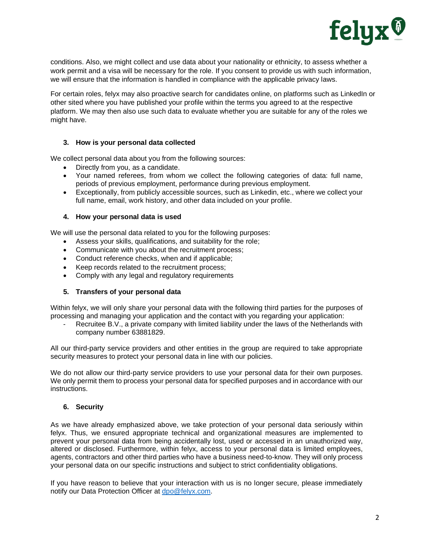

conditions. Also, we might collect and use data about your nationality or ethnicity, to assess whether a work permit and a visa will be necessary for the role. If you consent to provide us with such information, we will ensure that the information is handled in compliance with the applicable privacy laws.

For certain roles, felyx may also proactive search for candidates online, on platforms such as LinkedIn or other sited where you have published your profile within the terms you agreed to at the respective platform. We may then also use such data to evaluate whether you are suitable for any of the roles we might have.

# **3. How is your personal data collected**

We collect personal data about you from the following sources:

- Directly from you, as a candidate.
- Your named referees, from whom we collect the following categories of data: full name, periods of previous employment, performance during previous employment.
- Exceptionally, from publicly accessible sources, such as Linkedin, etc., where we collect your full name, email, work history, and other data included on your profile.

# **4. How your personal data is used**

We will use the personal data related to you for the following purposes:

- Assess your skills, qualifications, and suitability for the role;
- Communicate with you about the recruitment process;
- Conduct reference checks, when and if applicable;
- Keep records related to the recruitment process;
- Comply with any legal and regulatory requirements

# **5. Transfers of your personal data**

Within felyx, we will only share your personal data with the following third parties for the purposes of processing and managing your application and the contact with you regarding your application:

Recruitee B.V., a private company with limited liability under the laws of the Netherlands with company number 63881829.

All our third-party service providers and other entities in the group are required to take appropriate security measures to protect your personal data in line with our policies.

We do not allow our third-party service providers to use your personal data for their own purposes. We only permit them to process your personal data for specified purposes and in accordance with our instructions.

### **6. Security**

As we have already emphasized above, we take protection of your personal data seriously within felyx. Thus, we ensured appropriate technical and organizational measures are implemented to prevent your personal data from being accidentally lost, used or accessed in an unauthorized way, altered or disclosed. Furthermore, within felyx, access to your personal data is limited employees, agents, contractors and other third parties who have a business need-to-know. They will only process your personal data on our specific instructions and subject to strict confidentiality obligations.

If you have reason to believe that your interaction with us is no longer secure, please immediately notify our Data Protection Officer at [dpo@felyx.com.](mailto:dpo@felyx.com)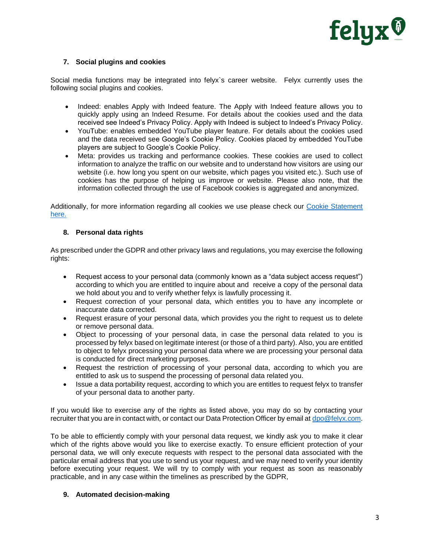

# **7. Social plugins and cookies**

Social media functions may be integrated into felyx`s career website. Felyx currently uses the following social plugins and cookies.

- Indeed: enables Apply with Indeed feature. The Apply with Indeed feature allows you to quickly apply using an Indeed Resume. For details about the cookies used and the data received see Indeed's Privacy Policy. Apply with Indeed is subject to Indeed's Privacy Policy.
- YouTube: enables embedded YouTube player feature. For details about the cookies used and the data received see Google's Cookie Policy. Cookies placed by embedded YouTube players are subject to Google's Cookie Policy.
- Meta: provides us tracking and performance cookies. These cookies are used to collect information to analyze the traffic on our website and to understand how visitors are using our website (i.e. how long you spent on our website, which pages you visited etc.). Such use of cookies has the purpose of helping us improve or website. Please also note, that the information collected through the use of Facebook cookies is aggregated and anonymized.

Additionally, for more information regarding all cookies we use please check our [Cookie Statement](https://felyx.com/nl/en/cookie-statement)  [here.](https://felyx.com/nl/en/cookie-statement)

### **8. Personal data rights**

As prescribed under the GDPR and other privacy laws and regulations, you may exercise the following rights:

- Request access to your personal data (commonly known as a "data subject access request") according to which you are entitled to inquire about and receive a copy of the personal data we hold about you and to verify whether felyx is lawfully processing it.
- Request correction of your personal data, which entitles you to have any incomplete or inaccurate data corrected.
- Request erasure of your personal data, which provides you the right to request us to delete or remove personal data.
- Object to processing of your personal data, in case the personal data related to you is processed by felyx based on legitimate interest (or those of athird party). Also, you are entitled to object to felyx processing your personal data where we are processing your personal data is conducted for direct marketing purposes.
- Request the restriction of processing of your personal data, according to which you are entitled to ask us to suspend the processing of personal data related you.
- Issue a data portability request, according to which you are entitles to request felyx to transfer of your personal data to another party.

If you would like to exercise any of the rights as listed above, you may do so by contacting your recruiter that you are in contact with, or contact our Data Protection Officer by email at [dpo@felyx.com.](mailto:dpo@felyx.com)

To be able to efficiently comply with your personal data request, we kindly ask you to make it clear which of the rights above would you like to exercise exactly. To ensure efficient protection of your personal data, we will only execute requests with respect to the personal data associated with the particular email address that you use to send us your request, and we may need to verify your identity before executing your request. We will try to comply with your request as soon as reasonably practicable, and in any case within the timelines as prescribed by the GDPR,

### **9. Automated decision-making**